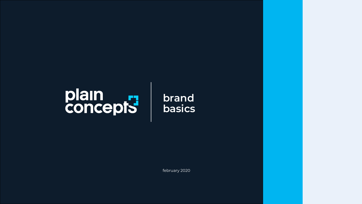# plain<br>concepts

february 2020

### brand basics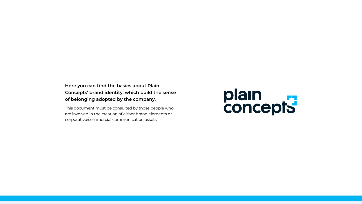#### **Here you can find the basics about Plain Concepts' brand identity, which build the sense of belonging adopted by the company.**

This document must be consulted by those people who are involved in the creation of either brand elements or corporative/commercial communication assets

# plain<br>concepts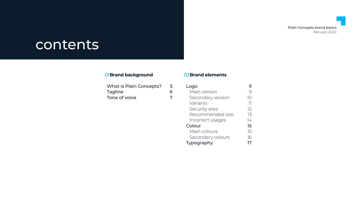#### Plain Concepts brand basics

february 2020

## contents

#### 01**Brand background** 02**Brand elements**

[What is Plain Concepts?](#page-4-0) 5 [Tagline](#page-5-0) 6 [Tone of voice](#page-6-0) 7

| Logo              |            |
|-------------------|------------|
| Main version      |            |
| Secondary version | $\vert$ () |
| Variants          | ןך         |
| Security area     | 12         |
| Recommended size  | 13         |
| Incorrect usages  | 74         |
| Colour            | 15         |
| Main colours      | 15         |
| Secondary colours | 16         |
| Typography        | 7          |
|                   |            |

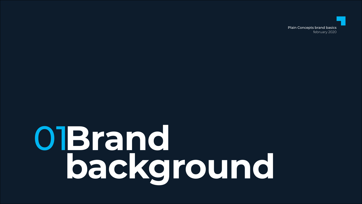# OlBrand background

#### **Plain Concepts brand basics** february 2020

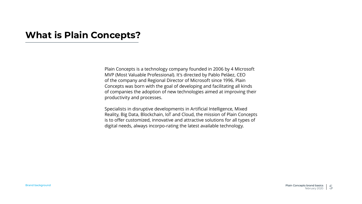### <span id="page-4-0"></span>**What is Plain Concepts?**

Plain Concepts is a technology company founded in 2006 by 4 Microsoft MVP (Most Valuable Professional). It's directed by Pablo Peláez, CEO of the company and Regional Director of Microsoft since 1996. Plain Concepts was born with the goal of developing and facilitating all kinds of companies the adoption of new technologies aimed at improving their productivity and processes.

Specialists in disruptive developments in Artificial Intelligence, Mixed Reality, Big Data, Blockchain, IoT and Cloud, the mission of Plain Concepts is to offer customized, innovative and attractive solutions for all types of digital needs, always incorpo-rating the latest available technology.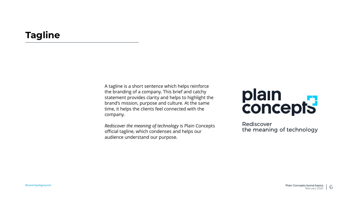### <span id="page-5-0"></span>**Tagline**

A tagline is a short sentence which helps reinforce the branding of a company. This brief and catchy statement provides clarity and helps to highlight the brand's mission, purpose and culture. At the same time, it helps the clients feel connected with the company.

*Rediscover the meaning of technology* is Plain Concepts official tagline, which condenses and helps our audience understand our purpose.

# plain<br>concepts

Rediscover the meaning of technology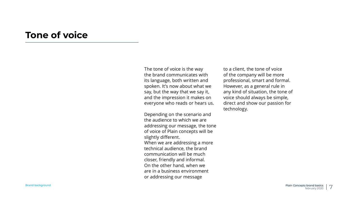#### <span id="page-6-0"></span>**Tone of voice**

The tone of voice is the way the brand communicates with its language, both written and spoken. It's now about what we say, but the way that we say it, and the impression it makes on everyone who reads or hears us.

Depending on the scenario and the audience to which we are addressing our message, the tone of voice of Plain concepts will be

When we are addressing a more technical audience, the brand communication will be much closer, friendly and informal. On the other hand, when we are in a business environment

slightly different. or addressing our message

to a client, the tone of voice of the company will be more professional, smart and formal. However, as a general rule in any kind of situation, the tone of voice should always be simple, direct and show our passion for technology.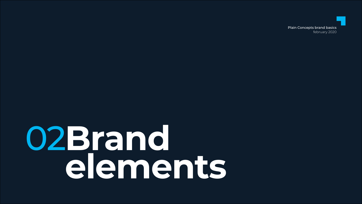# O2Brand Telements

#### **Plain Concepts brand basics** february 2020

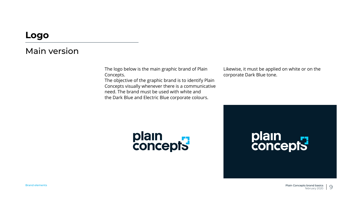#### <span id="page-8-0"></span>Main version

The logo below is the main graphic brand of Plain Concepts.

The objective of the graphic brand is to identify Plain Concepts visually whenever there is a communicative need. The brand must be used with white and the Dark Blue and Electric Blue corporate colours.



Likewise, it must be applied on white or on the corporate Dark Blue tone.



# plain<br>concepts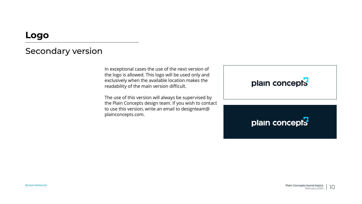#### <span id="page-9-0"></span>Secondary version

In exceptional cases the use of the next version of the logo is allowed. This logo will be used only and exclusively when the available location makes the readability of the main version difficult.

The use of this version will always be supervised by the Plain Concepts design team. If you wish to contact to use this version, write an email to [designteam@](mailto:designteam@plainconcepts.com) [plainconcepts.com](mailto:designteam@plainconcepts.com).

## plain concepts

### plain concepts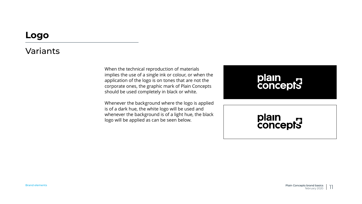#### <span id="page-10-0"></span>Variants

When the technical reproduction of materials implies the use of a single ink or colour, or when the application of the logo is on tones that are not the corporate ones, the graphic mark of Plain Concepts should be used completely in black or white.

Whenever the background where the logo is applied is of a dark hue, the white logo will be used and whenever the background is of a light hue, the black logo will be applied as can be seen below.

# plain<br>concepts

# plain<br>concepts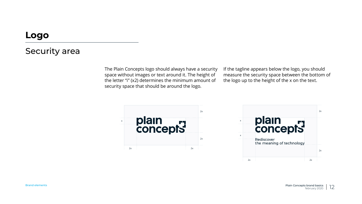#### <span id="page-11-0"></span>Security area

The Plain Concepts logo should always have a security space without images or text around it. The height of the letter "i" (x2) determines the minimum amount of security space that should be around the logo.

If the tagline appears below the logo, you should measure the security space between the bottom of the logo up to the height of the x on the text.



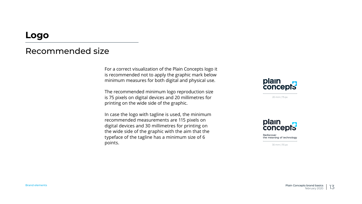#### <span id="page-12-0"></span>Recommended size

For a correct visualization of the Plain Concepts logo it is recommended not to apply the graphic mark below minimum measures for both digital and physical use.

The recommended minimum logo reproduction size is 75 pixels on digital devices and 20 millimetres for printing on the wide side of the graphic.

In case the logo with tagline is used, the minimum recommended measurements are 115 pixels on digital devices and 30 millimetres for printing on the wide side of the graphic with the aim that the typeface of the tagline has a minimum size of 6 points.



20 mm | 75 px



Rediscover the meaning of technology

30 mm | 115 px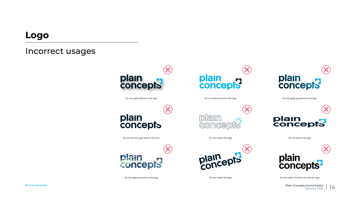Brand elements Plain Concepts brand basics february 2020 14





Do not rotate the logo Do not switch the font nor edit the logo

#### <span id="page-13-0"></span>**Logo**

#### Incorrect usages



Do not apply effects to the logo



# plain<br>concepts

Do not outline the logo





Do not switch/recolour the logo

plain<br>concepts

Do not distort the logo

Do not apply gradients to the logo



Do not apply textures on the logo











Do not use the logo without the icon

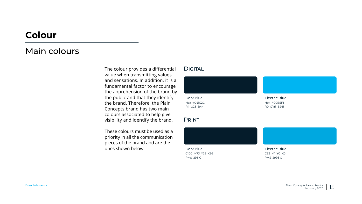Brand elements Plain Concepts brand basics february 2020 15



## <span id="page-14-0"></span>**Colour**

#### Main colours

The colour provides a differential value when transmitting values and sensations. In addition, it is a fundamental factor to encourage the apprehension of the brand by the public and that they identify the brand. Therefore, the Plain Concepts brand has two main colours associated to help give visibility and identify the brand.

These colours must be used as a priority in all the communication pieces of the brand and are the ones shown below.

Dark Blue Hex #041C2C R4 G28 B44

Dark Blue C100 M73 Y28 K86 PMS 296 C

**DIGITAL** 

Electric Blue C83 M1 Y0 K0 PMS 2995 C

Electric Blue Hex #00B5F1 R0 G181 B241

Print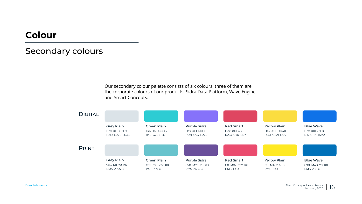### <span id="page-15-0"></span>**Colour**

#### Secondary colours

Our secondary colour palette consists of six colours, three of them are the corporate colours of our products: Sidra Data Platform, Wave Engine and Smart Concepts.

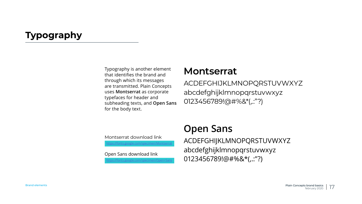#### <span id="page-16-0"></span>**Typography**

ACDEFGHIJKLMNOPQRSTUVWXYZ abcdefghijklmnopqrstuvwxyz Open Sans download link<br>
https://fonts.google.com/specimen/Open+Sans | 0123456789!@#%&\*(,.:"?)

Typography is another element that identifies the brand and through which its messages are transmitted. Plain Concepts uses **Montserrat** as corporate typefaces for header and subheading texts, and **Open Sans** for the body text. **Montserrat** ACDEFGHIJKLMNOPQRSTUVWXYZ abcdefghijklmnopqrstuvwxyz 0123456789!@#%&\*(,.:"?)

### **Open Sans**

#### Montserrat download link

//fonts.google.com/specimen/Montserrat

w<https://fonts.google.com/specimen/Open+Sans>